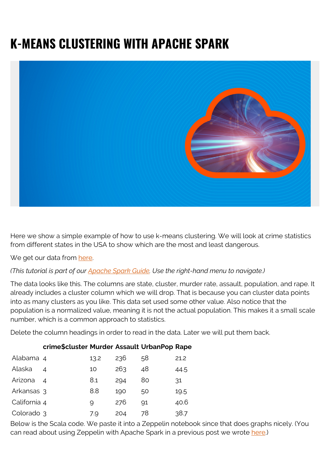## **K-MEANS CLUSTERING WITH APACHE SPARK**



Here we show a simple example of how to use k-means clustering. We will look at crime statistics from different states in the USA to show which are the most and least dangerous.

We get our data from [here.](https://raw.githubusercontent.com/werowe/MLexamples/master/crime_data.csv)

## *(This tutorial is part of our [Apache Spark Guide.](https://blogs.bmc.com/blogs/introduction-to-sparks-machine-learning-pipeline/) Use the right-hand menu to navigate.)*

The data looks like this. The columns are state, cluster, murder rate, assault, population, and rape. It already includes a cluster column which we will drop. That is because you can cluster data points into as many clusters as you like. This data set used some other value. Also notice that the population is a normalized value, meaning it is not the actual population. This makes it a small scale number, which is a common approach to statistics.

Delete the column headings in order to read in the data. Later we will put them back.

| Alabama 4    |                          | 13.2 | 236 | 58             | 21.2 |
|--------------|--------------------------|------|-----|----------------|------|
| Alaska       | $\overline{\mathcal{A}}$ | 10   | 263 | 48             | 44.5 |
| Arizona 4    |                          | 8.1  | 294 | 80             | 31   |
| Arkansas 3   |                          | 8.8  | 190 | 50             | 19.5 |
| California 4 |                          | g    | 276 | Q <sub>1</sub> | 40.6 |
| Colorado 3   |                          | 7.9  | 204 | 78             | 38.7 |

**crime\$cluster Murder Assault UrbanPop Rape**

Below is the Scala code. We paste it into a Zeppelin notebook since that does graphs nicely. (You can read about using Zeppelin with Apache Spark in a previous post we wrote [here](https://blogs.bmc.com/blogs/using-zeppelin-big-data/).)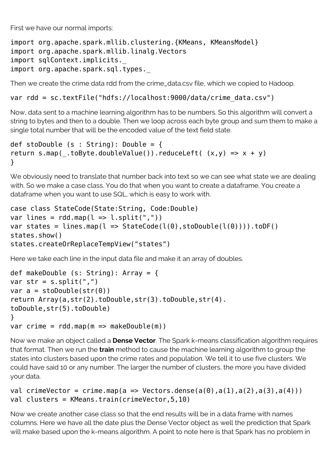First we have our normal imports:

import org.apache.spark.mllib.clustering.{KMeans, KMeansModel} import org.apache.spark.mllib.linalg.Vectors import sqlContext.implicits. import org.apache.spark.sql.types.\_

Then we create the crime data rdd from the crime data.csv file, which we copied to Hadoop.

var rdd = sc.textFile("hdfs://localhost:9000/data/crime data.csv")

Now, data sent to a machine learning algorithm has to be numbers. So this algorithm will convert a string to bytes and then to a double. Then we loop across each byte group and sum them to make a single total number that will be the encoded value of the text field state.

```
def stoDouble (s : String): Double = {
return s.map( .toByte.doubleValue()).reduceLeft( (x,y) => x + y)
}
```
We obviously need to translate that number back into text so we can see what state we are dealing with. So we make a case class. You do that when you want to create a dataframe. You create a dataframe when you want to use SQL, which is easy to work with.

```
case class StateCode(State:String, Code:Double)
var lines = rddmap(l \Rightarrow l.split(","))var states = lines.map(l \Rightarrow StateCode(l(\theta), stoDouble(l(\theta)))).toDF()
states.show()
states.createOrReplaceTempView("states")
```
Here we take each line in the input data file and make it an array of doubles.

```
def makeDouble (s: String): Array = {
var str = s.split(","')var a = stopouble(str(0))return Array(a,str(2).toDouble,str(3).toDouble,str(4).
toDouble,str(5).toDouble)
}
var crime = rddmap(m == makebouble(m))
```
Now we make an object called a **Dense Vector**. The Spark k-means classification algorithm requires that format. Then we run the **train** method to cause the machine learning algorithm to group the states into clusters based upon the crime rates and population. We tell it to use five clusters. We could have said 10 or any number. The larger the number of clusters, the more you have divided your data.

```
val crimeVector = crime.map(a => Vectors.dense(a(0),a(1),a(2),a(3),a(4)))
val clusters = KMeans.train(crimeVector,5,10)
```
Now we create another case class so that the end results will be in a data frame with names columns. Here we have all the date plus the Dense Vector object as well the prediction that Spark will make based upon the k-means algorithm. A point to note here is that Spark has no problem in